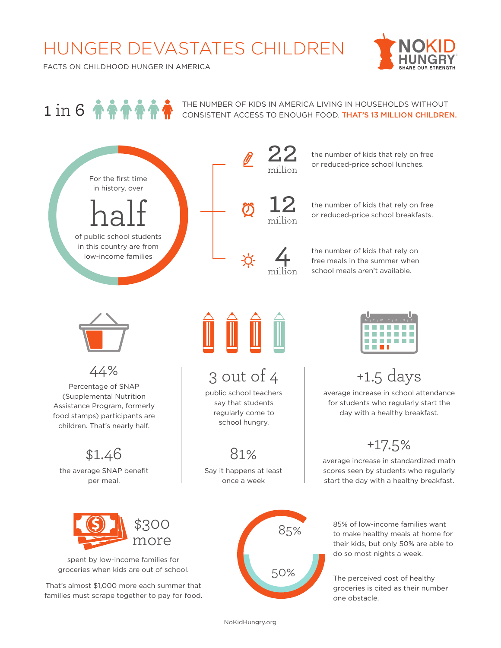## HUNGER DEVASTATES CHILDREN



FACTS ON CHILDHOOD HUNGER IN AMERICA

## $1 in 6$   $\uparrow \uparrow \uparrow \uparrow \uparrow \uparrow$

THE NUMBER OF KIDS IN AMERICA LIVING IN HOUSEHOLDS WITHOUT CONSISTENT ACCESS TO ENOUGH FOOD. THAT'S 13 MILLION CHILDREN.